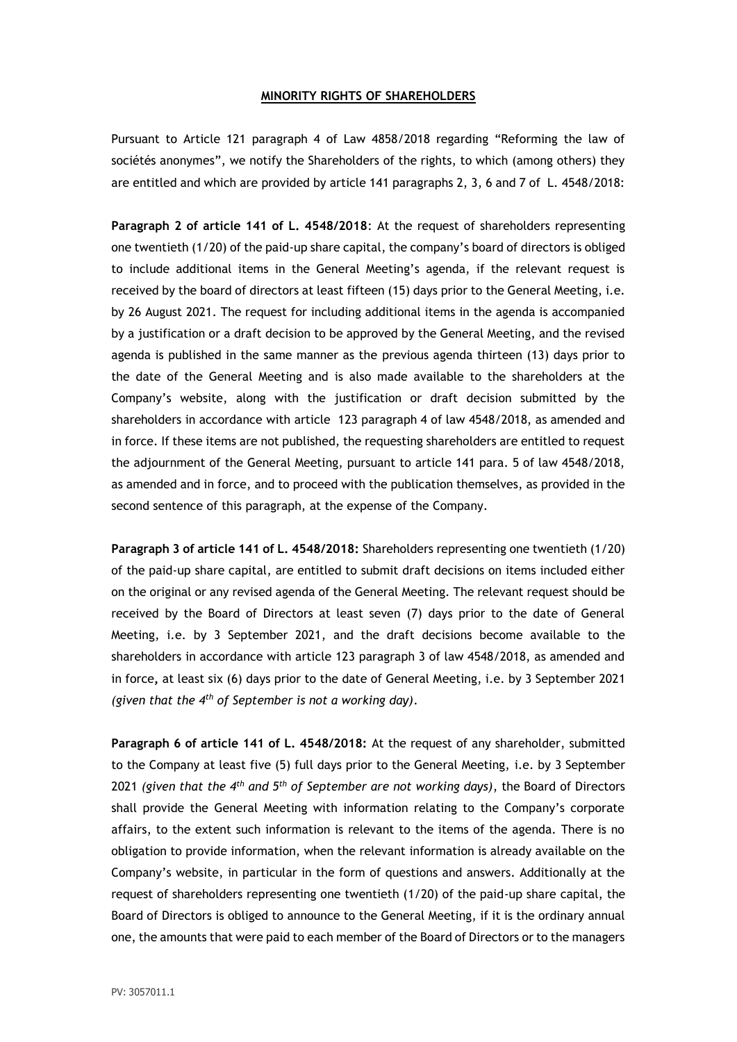## **MINORITY RIGHTS OF SHAREHOLDERS**

Pursuant to Article 121 paragraph 4 of Law 4858/2018 regarding "Reforming the law of sociétés anonymes", we notify the Shareholders of the rights, to which (among others) they are entitled and which are provided by article 141 paragraphs 2, 3, 6 and 7 of L. 4548/2018:

**Paragraph 2 of article 141 of L. 4548/2018**: At the request of shareholders representing one twentieth (1/20) of the paid-up share capital, the company's board of directors is obliged to include additional items in the General Meeting's agenda, if the relevant request is received by the board of directors at least fifteen (15) days prior to the General Meeting, i.e. by 26 August 2021. The request for including additional items in the agenda is accompanied by a justification or a draft decision to be approved by the General Meeting, and the revised agenda is published in the same manner as the previous agenda thirteen (13) days prior to the date of the General Meeting and is also made available to the shareholders at the Company's website, along with the justification or draft decision submitted by the shareholders in accordance with article 123 paragraph 4 of law 4548/2018, as amended and in force. If these items are not published, the requesting shareholders are entitled to request the adjournment of the General Meeting, pursuant to article 141 para. 5 of law 4548/2018, as amended and in force, and to proceed with the publication themselves, as provided in the second sentence of this paragraph, at the expense of the Company.

**Paragraph 3 of article 141 of L. 4548/2018:** Shareholders representing one twentieth (1/20) of the paid-up share capital, are entitled to submit draft decisions on items included either on the original or any revised agenda of the General Meeting. The relevant request should be received by the Board of Directors at least seven (7) days prior to the date of General Meeting, i.e. by 3 September 2021, and the draft decisions become available to the shareholders in accordance with article 123 paragraph 3 of law 4548/2018, as amended and in force**,** at least six (6) days prior to the date of General Meeting, i.e. by 3 September 2021 *(given that the 4th of September is not a working day)*.

**Paragraph 6 of article 141 of L. 4548/2018:** At the request of any shareholder, submitted to the Company at least five (5) full days prior to the General Meeting, i.e. by 3 September 2021 *(given that the 4th and 5th of September are not working days)*, the Board of Directors shall provide the General Meeting with information relating to the Company's corporate affairs, to the extent such information is relevant to the items of the agenda. There is no obligation to provide information, when the relevant information is already available on the Company's website, in particular in the form of questions and answers. Additionally at the request of shareholders representing one twentieth (1/20) of the paid-up share capital, the Board of Directors is obliged to announce to the General Meeting, if it is the ordinary annual one, the amounts that were paid to each member of the Board of Directors or to the managers